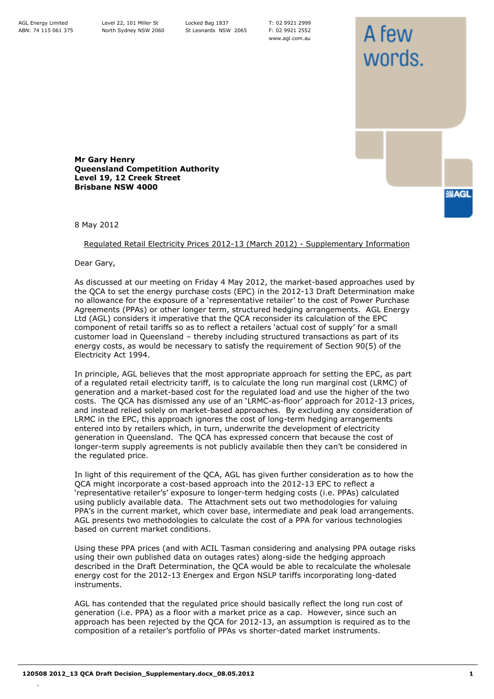T: 02 9921 2999 F: 02 9921 2552 www.agl.com.au

A few

words.

**SIAGL** 

**Mr Gary Henry Queensland Competition Authority Level 19, 12 Creek Street Brisbane NSW 4000**

8 May 2012

Regulated Retail Electricity Prices 2012-13 (March 2012) - Supplementary Information

Dear Gary,

As discussed at our meeting on Friday 4 May 2012, the market-based approaches used by the QCA to set the energy purchase costs (EPC) in the 2012-13 Draft Determination make no allowance for the exposure of a 'representative retailer' to the cost of Power Purchase Agreements (PPAs) or other longer term, structured hedging arrangements. AGL Energy Ltd (AGL) considers it imperative that the QCA reconsider its calculation of the EPC component of retail tariffs so as to reflect a retailers 'actual cost of supply' for a small customer load in Queensland – thereby including structured transactions as part of its energy costs, as would be necessary to satisfy the requirement of Section 90(5) of the Electricity Act 1994.

In principle, AGL believes that the most appropriate approach for setting the EPC, as part of a regulated retail electricity tariff, is to calculate the long run marginal cost (LRMC) of generation and a market-based cost for the regulated load and use the higher of the two costs. The QCA has dismissed any use of an 'LRMC-as-floor' approach for 2012-13 prices, and instead relied solely on market-based approaches. By excluding any consideration of LRMC in the EPC, this approach ignores the cost of long-term hedging arrangements entered into by retailers which, in turn, underwrite the development of electricity generation in Queensland. The QCA has expressed concern that because the cost of longer-term supply agreements is not publicly available then they can't be considered in the regulated price.

In light of this requirement of the QCA, AGL has given further consideration as to how the QCA might incorporate a cost-based approach into the 2012-13 EPC to reflect a 'representative retailer's' exposure to longer-term hedging costs (i.e. PPAs) calculated using publicly available data. The Attachment sets out two methodologies for valuing PPA's in the current market, which cover base, intermediate and peak load arrangements. AGL presents two methodologies to calculate the cost of a PPA for various technologies based on current market conditions.

Using these PPA prices (and with ACIL Tasman considering and analysing PPA outage risks using their own published data on outages rates) along-side the hedging approach described in the Draft Determination, the QCA would be able to recalculate the wholesale energy cost for the 2012-13 Energex and Ergon NSLP tariffs incorporating long-dated instruments.

AGL has contended that the regulated price should basically reflect the long run cost of generation (i.e. PPA) as a floor with a market price as a cap. However, since such an approach has been rejected by the QCA for 2012-13, an assumption is required as to the composition of a retailer's portfolio of PPAs vs shorter-dated market instruments.

›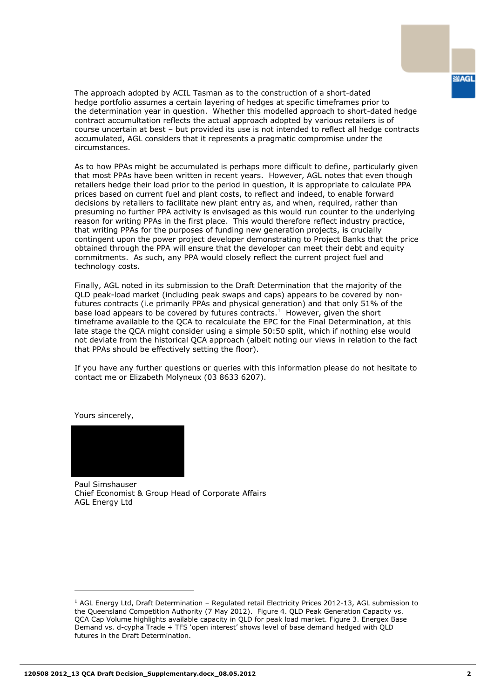The approach adopted by ACIL Tasman as to the construction of a short-dated hedge portfolio assumes a certain layering of hedges at specific timeframes prior to the determination year in question. Whether this modelled approach to short-dated hedge contract accumultation reflects the actual approach adopted by various retailers is of course uncertain at best – but provided its use is not intended to reflect all hedge contracts accumulated, AGL considers that it represents a pragmatic compromise under the circumstances.

As to how PPAs might be accumulated is perhaps more difficult to define, particularly given that most PPAs have been written in recent years. However, AGL notes that even though retailers hedge their load prior to the period in question, it is appropriate to calculate PPA prices based on current fuel and plant costs, to reflect and indeed, to enable forward decisions by retailers to facilitate new plant entry as, and when, required, rather than presuming no further PPA activity is envisaged as this would run counter to the underlying reason for writing PPAs in the first place. This would therefore reflect industry practice, that writing PPAs for the purposes of funding new generation projects, is crucially contingent upon the power project developer demonstrating to Project Banks that the price obtained through the PPA will ensure that the developer can meet their debt and equity commitments. As such, any PPA would closely reflect the current project fuel and technology costs.

Finally, AGL noted in its submission to the Draft Determination that the majority of the QLD peak-load market (including peak swaps and caps) appears to be covered by nonfutures contracts (i.e primarily PPAs and physical generation) and that only 51% of the base load appears to be covered by futures contracts.<sup>1</sup> However, given the short timeframe available to the QCA to recalculate the EPC for the Final Determination, at this late stage the QCA might consider using a simple 50:50 split, which if nothing else would not deviate from the historical QCA approach (albeit noting our views in relation to the fact that PPAs should be effectively setting the floor).

If you have any further questions or queries with this information please do not hesitate to contact me or Elizabeth Molyneux (03 8633 6207).

Yours sincerely,

ł



Paul Simshauser Chief Economist & Group Head of Corporate Affairs AGL Energy Ltd

<sup>&</sup>lt;sup>1</sup> AGL Energy Ltd, Draft Determination – Regulated retail Electricity Prices 2012-13, AGL submission to the Queensland Competition Authority (7 May 2012). Figure 4. QLD Peak Generation Capacity vs. QCA Cap Volume highlights available capacity in QLD for peak load market. Figure 3. Energex Base Demand vs. d-cypha Trade + TFS 'open interest' shows level of base demand hedged with QLD futures in the Draft Determination.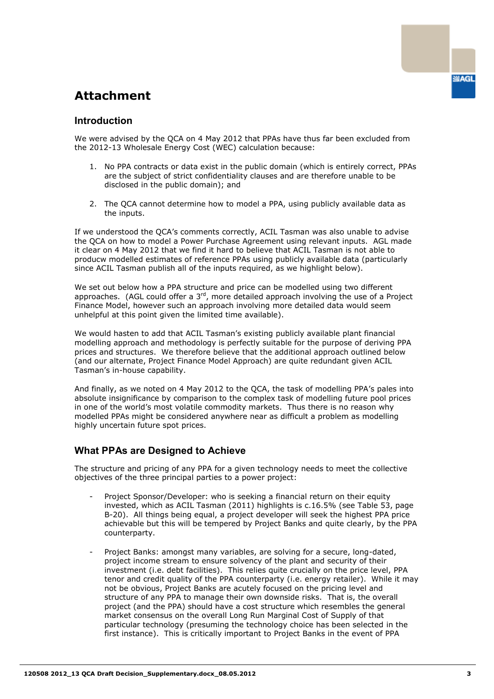# **Attachment**

### **Introduction**

We were advised by the QCA on 4 May 2012 that PPAs have thus far been excluded from the 2012-13 Wholesale Energy Cost (WEC) calculation because:

- 1. No PPA contracts or data exist in the public domain (which is entirely correct, PPAs are the subject of strict confidentiality clauses and are therefore unable to be disclosed in the public domain); and
- 2. The QCA cannot determine how to model a PPA, using publicly available data as the inputs.

If we understood the QCA's comments correctly, ACIL Tasman was also unable to advise the QCA on how to model a Power Purchase Agreement using relevant inputs. AGL made it clear on 4 May 2012 that we find it hard to believe that ACIL Tasman is not able to producw modelled estimates of reference PPAs using publicly available data (particularly since ACIL Tasman publish all of the inputs required, as we highlight below).

We set out below how a PPA structure and price can be modelled using two different approaches. (AGL could offer a  $3<sup>rd</sup>$ , more detailed approach involving the use of a Project Finance Model, however such an approach involving more detailed data would seem unhelpful at this point given the limited time available).

We would hasten to add that ACIL Tasman's existing publicly available plant financial modelling approach and methodology is perfectly suitable for the purpose of deriving PPA prices and structures. We therefore believe that the additional approach outlined below (and our alternate, Project Finance Model Approach) are quite redundant given ACIL Tasman's in-house capability.

And finally, as we noted on 4 May 2012 to the QCA, the task of modelling PPA's pales into absolute insignificance by comparison to the complex task of modelling future pool prices in one of the world's most volatile commodity markets. Thus there is no reason why modelled PPAs might be considered anywhere near as difficult a problem as modelling highly uncertain future spot prices.

### **What PPAs are Designed to Achieve**

The structure and pricing of any PPA for a given technology needs to meet the collective objectives of the three principal parties to a power project:

- Project Sponsor/Developer: who is seeking a financial return on their equity invested, which as ACIL Tasman (2011) highlights is c.16.5% (see Table 53, page B-20). All things being equal, a project developer will seek the highest PPA price achievable but this will be tempered by Project Banks and quite clearly, by the PPA counterparty.
- Project Banks: amongst many variables, are solving for a secure, long-dated, project income stream to ensure solvency of the plant and security of their investment (i.e. debt facilities). This relies quite crucially on the price level, PPA tenor and credit quality of the PPA counterparty (i.e. energy retailer). While it may not be obvious, Project Banks are acutely focused on the pricing level and structure of any PPA to manage their own downside risks. That is, the overall project (and the PPA) should have a cost structure which resembles the general market consensus on the overall Long Run Marginal Cost of Supply of that particular technology (presuming the technology choice has been selected in the first instance). This is critically important to Project Banks in the event of PPA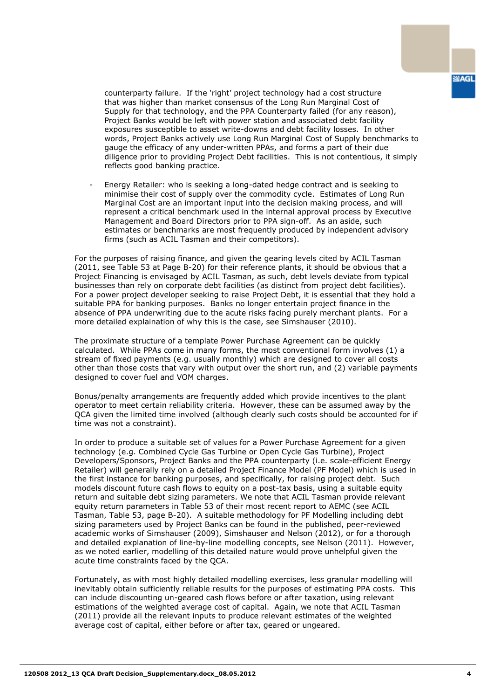counterparty failure. If the 'right' project technology had a cost structure that was higher than market consensus of the Long Run Marginal Cost of Supply for that technology, and the PPA Counterparty failed (for any reason), Project Banks would be left with power station and associated debt facility exposures susceptible to asset write-downs and debt facility losses. In other words, Project Banks actively use Long Run Marginal Cost of Supply benchmarks to gauge the efficacy of any under-written PPAs, and forms a part of their due diligence prior to providing Project Debt facilities. This is not contentious, it simply reflects good banking practice.

- Energy Retailer: who is seeking a long-dated hedge contract and is seeking to minimise their cost of supply over the commodity cycle. Estimates of Long Run Marginal Cost are an important input into the decision making process, and will represent a critical benchmark used in the internal approval process by Executive Management and Board Directors prior to PPA sign-off. As an aside, such estimates or benchmarks are most frequently produced by independent advisory firms (such as ACIL Tasman and their competitors).

For the purposes of raising finance, and given the gearing levels cited by ACIL Tasman (2011, see Table 53 at Page B-20) for their reference plants, it should be obvious that a Project Financing is envisaged by ACIL Tasman, as such, debt levels deviate from typical businesses than rely on corporate debt facilities (as distinct from project debt facilities). For a power project developer seeking to raise Project Debt, it is essential that they hold a suitable PPA for banking purposes. Banks no longer entertain project finance in the absence of PPA underwriting due to the acute risks facing purely merchant plants. For a more detailed explaination of why this is the case, see Simshauser (2010).

The proximate structure of a template Power Purchase Agreement can be quickly calculated. While PPAs come in many forms, the most conventional form involves (1) a stream of fixed payments (e.g. usually monthly) which are designed to cover all costs other than those costs that vary with output over the short run, and (2) variable payments designed to cover fuel and VOM charges.

Bonus/penalty arrangements are frequently added which provide incentives to the plant operator to meet certain reliability criteria. However, these can be assumed away by the QCA given the limited time involved (although clearly such costs should be accounted for if time was not a constraint).

In order to produce a suitable set of values for a Power Purchase Agreement for a given technology (e.g. Combined Cycle Gas Turbine or Open Cycle Gas Turbine), Project Developers/Sponsors, Project Banks and the PPA counterparty (i.e. scale-efficient Energy Retailer) will generally rely on a detailed Project Finance Model (PF Model) which is used in the first instance for banking purposes, and specifically, for raising project debt. Such models discount future cash flows to equity on a post-tax basis, using a suitable equity return and suitable debt sizing parameters. We note that ACIL Tasman provide relevant equity return parameters in Table 53 of their most recent report to AEMC (see ACIL Tasman, Table 53, page B-20). A suitable methodology for PF Modelling including debt sizing parameters used by Project Banks can be found in the published, peer-reviewed academic works of Simshauser (2009), Simshauser and Nelson (2012), or for a thorough and detailed explanation of line-by-line modelling concepts, see Nelson (2011). However, as we noted earlier, modelling of this detailed nature would prove unhelpful given the acute time constraints faced by the QCA.

Fortunately, as with most highly detailed modelling exercises, less granular modelling will inevitably obtain sufficiently reliable results for the purposes of estimating PPA costs. This can include discounting un-geared cash flows before or after taxation, using relevant estimations of the weighted average cost of capital. Again, we note that ACIL Tasman (2011) provide all the relevant inputs to produce relevant estimates of the weighted average cost of capital, either before or after tax, geared or ungeared.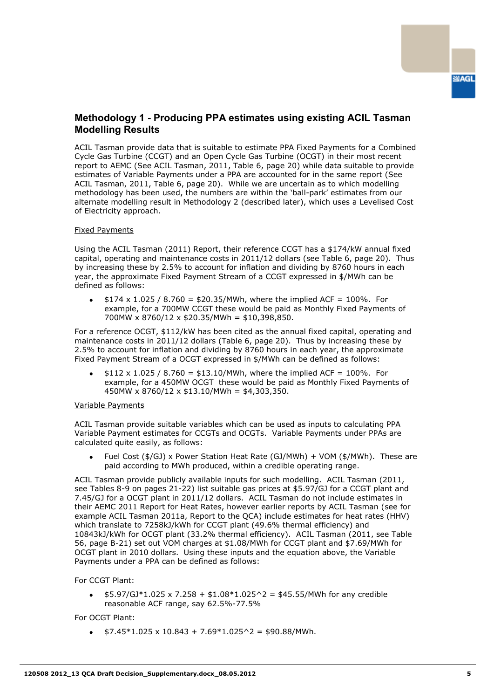## **Methodology 1 - Producing PPA estimates using existing ACIL Tasman Modelling Results**

ACIL Tasman provide data that is suitable to estimate PPA Fixed Payments for a Combined Cycle Gas Turbine (CCGT) and an Open Cycle Gas Turbine (OCGT) in their most recent report to AEMC (See ACIL Tasman, 2011, Table 6, page 20) while data suitable to provide estimates of Variable Payments under a PPA are accounted for in the same report (See ACIL Tasman, 2011, Table 6, page 20). While we are uncertain as to which modelling methodology has been used, the numbers are within the 'ball-park' estimates from our alternate modelling result in Methodology 2 (described later), which uses a Levelised Cost of Electricity approach.

#### Fixed Payments

Using the ACIL Tasman (2011) Report, their reference CCGT has a \$174/kW annual fixed capital, operating and maintenance costs in 2011/12 dollars (see Table 6, page 20). Thus by increasing these by 2.5% to account for inflation and dividing by 8760 hours in each year, the approximate Fixed Payment Stream of a CCGT expressed in \$/MWh can be defined as follows:

 $$174 \times 1.025 / 8.760 = $20.35/MWh$ , where the implied ACF = 100%. For example, for a 700MW CCGT these would be paid as Monthly Fixed Payments of 700MW x 8760/12 x \$20.35/MWh = \$10,398,850.

For a reference OCGT, \$112/kW has been cited as the annual fixed capital, operating and maintenance costs in 2011/12 dollars (Table 6, page 20). Thus by increasing these by 2.5% to account for inflation and dividing by 8760 hours in each year, the approximate Fixed Payment Stream of a OCGT expressed in \$/MWh can be defined as follows:

 $$112 \times 1.025 / 8.760 = $13.10/MWh$ , where the implied ACF = 100%. For example, for a 450MW OCGT these would be paid as Monthly Fixed Payments of 450MW x 8760/12 x \$13.10/MWh = \$4,303,350.

#### Variable Payments

ACIL Tasman provide suitable variables which can be used as inputs to calculating PPA Variable Payment estimates for CCGTs and OCGTs. Variable Payments under PPAs are calculated quite easily, as follows:

Fuel Cost (\$/GJ) x Power Station Heat Rate (GJ/MWh) + VOM (\$/MWh). These are paid according to MWh produced, within a credible operating range.

ACIL Tasman provide publicly available inputs for such modelling. ACIL Tasman (2011, see Tables 8-9 on pages 21-22) list suitable gas prices at \$5.97/GJ for a CCGT plant and 7.45/GJ for a OCGT plant in 2011/12 dollars. ACIL Tasman do not include estimates in their AEMC 2011 Report for Heat Rates, however earlier reports by ACIL Tasman (see for example ACIL Tasman 2011a, Report to the QCA) include estimates for heat rates (HHV) which translate to 7258kJ/kWh for CCGT plant (49.6% thermal efficiency) and 10843kJ/kWh for OCGT plant (33.2% thermal efficiency). ACIL Tasman (2011, see Table 56, page B-21) set out VOM charges at \$1.08/MWh for CCGT plant and \$7.69/MWh for OCGT plant in 2010 dollars. Using these inputs and the equation above, the Variable Payments under a PPA can be defined as follows:

For CCGT Plant:

 $$5.97/GJ*1.025 \times 7.258 + $1.08*1.025^2 = $45.55/MWh$  for any credible  $\bullet$ reasonable ACF range, say 62.5%-77.5%

For OCGT Plant:

 $$7.45*1.025 \times 10.843 + 7.69*1.025^2 = $90.88/MWh.$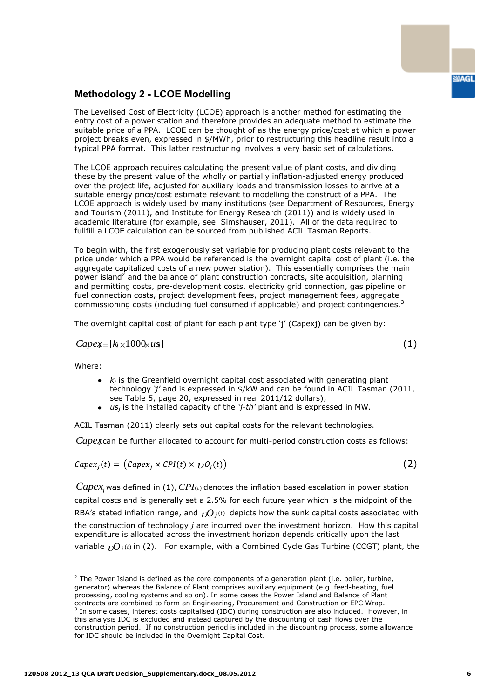## **Methodology 2 - LCOE Modelling**

The Levelised Cost of Electricity (LCOE) approach is another method for estimating the entry cost of a power station and therefore provides an adequate method to estimate the suitable price of a PPA. LCOE can be thought of as the energy price/cost at which a power project breaks even, expressed in \$/MWh, prior to restructuring this headline result into a typical PPA format. This latter restructuring involves a very basic set of calculations.

The LCOE approach requires calculating the present value of plant costs, and dividing these by the present value of the wholly or partially inflation-adjusted energy produced over the project life, adjusted for auxiliary loads and transmission losses to arrive at a suitable energy price/cost estimate relevant to modelling the construct of a PPA. The LCOE approach is widely used by many institutions (see Department of Resources, Energy and Tourism (2011), and Institute for Energy Research (2011)) and is widely used in academic literature (for example, see Simshauser, 2011). All of the data required to fullfill a LCOE calculation can be sourced from published ACIL Tasman Reports.

To begin with, the first exogenously set variable for producing plant costs relevant to the price under which a PPA would be referenced is the overnight capital cost of plant (i.e. the aggregate capitalized costs of a new power station). This essentially comprises the main power island<sup>2</sup> and the balance of plant construction contracts, site acquisition, planning and permitting costs, pre-development costs, electricity grid connection, gas pipeline or fuel connection costs, project development fees, project management fees, aggregate commissioning costs (including fuel consumed if applicable) and project contingencies. $3$ 

The overnight capital cost of plant for each plant type 'j' (Capexj) can be given by:

$$
Capex=[k_{j}\times1000\angle u s]
$$

Where:

ł

- *kj* is the Greenfield overnight capital cost associated with generating plant technology *'j'* and is expressed in \$/kW and can be found in ACIL Tasman (2011, see Table 5, page 20, expressed in real 2011/12 dollars);
- *us<sup>j</sup>* is the installed capacity of the *'j-th'* plant and is expressed in MW.

ACIL Tasman (2011) clearly sets out capital costs for the relevant technologies.

Capexcan be further allocated to account for multi-period construction costs as follows:

 $Capex_i(t) = (Capex_i \times CPU(t) \times \bigcup O_i(t))$ 

*Capex<sup>j</sup>* was defined in (1), *CPI*(*t*) denotes the inflation based escalation in power station capital costs and is generally set a 2.5% for each future year which is the midpoint of the RBA's stated inflation range, and  $\overline{\nu}O_{j^{(t)}}$  depicts how the sunk capital costs associated with the construction of technology *j* are incurred over the investment horizon. How this capital expenditure is allocated across the investment horizon depends critically upon the last variable  $\iota{\mathcal{O}}_j$ <sup>(t)</sup> in (2). For example, with a Combined Cycle Gas Turbine (CCGT) plant, the

(1)

(2)

<sup>&</sup>lt;sup>2</sup> The Power Island is defined as the core components of a generation plant (i.e. boiler, turbine, generator) whereas the Balance of Plant comprises auxillary equipment (e.g. feed-heating, fuel processing, cooling systems and so on). In some cases the Power Island and Balance of Plant contracts are combined to form an Engineering, Procurement and Construction or EPC Wrap. 3 In some cases, interest costs capitalised (IDC) during construction are also included. However, in this analysis IDC is excluded and instead captured by the discounting of cash flows over the construction period. If no construction period is included in the discounting process, some allowance for IDC should be included in the Overnight Capital Cost.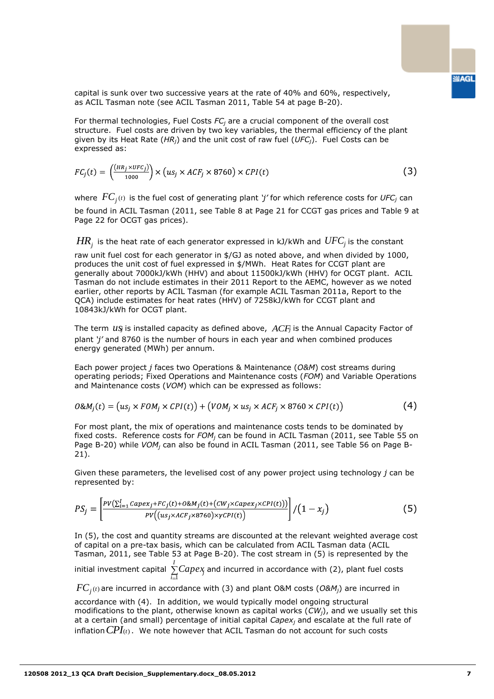capital is sunk over two successive years at the rate of 40% and 60%, respectively, as ACIL Tasman note (see ACIL Tasman 2011, Table 54 at page B-20).

For thermal technologies, Fuel Costs *FC<sup>j</sup>* are a crucial component of the overall cost structure. Fuel costs are driven by two key variables, the thermal efficiency of the plant given by its Heat Rate (*HRj*) and the unit cost of raw fuel (*UFCj*). Fuel Costs can be expressed as:

$$
FC_j(t) = \left(\frac{(HR_j \times UFC_j)}{1000}\right) \times \left(us_j \times ACF_j \times 8760\right) \times CPU(t)
$$
 (3)

where  $\textit{FC}_j$ (t) is the fuel cost of generating plant *'j'* for which reference costs for  $\textit{UFC}_j$  can be found in ACIL Tasman (2011, see Table 8 at Page 21 for CCGT gas prices and Table 9 at Page 22 for OCGT gas prices).

 $H\!R_j$  is the heat rate of each generator expressed in kJ/kWh and  $U\!F\!C_j$  is the constant

raw unit fuel cost for each generator in \$/GJ as noted above, and when divided by 1000, produces the unit cost of fuel expressed in \$/MWh. Heat Rates for CCGT plant are generally about 7000kJ/kWh (HHV) and about 11500kJ/kWh (HHV) for OCGT plant. ACIL Tasman do not include estimates in their 2011 Report to the AEMC, however as we noted earlier, other reports by ACIL Tasman (for example ACIL Tasman 2011a, Report to the QCA) include estimates for heat rates (HHV) of 7258kJ/kWh for CCGT plant and 10843kJ/kWh for OCGT plant.

The term  $us_j$  is installed capacity as defined above,  $ACF_j$  is the Annual Capacity Factor of plant *'j'* and 8760 is the number of hours in each year and when combined produces energy generated (MWh) per annum.

Each power project *j* faces two Operations & Maintenance (*O&M*) cost streams during operating periods; Fixed Operations and Maintenance costs (*FOM*) and Variable Operations and Maintenance costs (*VOM*) which can be expressed as follows:

$$
O\&M_i(t) = (us_i \times FOM_i \times CPU(t)) + (VOM_i \times us_i \times ACF_i \times 8760 \times CPU(t))
$$
\n
$$
(4)
$$

For most plant, the mix of operations and maintenance costs tends to be dominated by fixed costs. Reference costs for *FOM<sup>j</sup>* can be found in ACIL Tasman (2011, see Table 55 on Page B-20) while *VOM<sup>j</sup>* can also be found in ACIL Tasman (2011, see Table 56 on Page B-21).

Given these parameters, the levelised cost of any power project using technology *j* can be represented by:

$$
PS_j = \left[ \frac{PV(\sum_{i=1}^{I} Capex_j + FC_j(t) + O\&M_j(t) + (CW_j \times Capex_j \times CPL(t)))}{PV((us_j \times ACF_j \times 8760) \times \gamma CPI(t))} \right] / (1 - x_j)
$$
(5)

In (5), the cost and quantity streams are discounted at the relevant weighted average cost of capital on a pre-tax basis, which can be calculated from ACIL Tasman data (ACIL Tasman, 2011, see Table 53 at Page B-20). The cost stream in (5) is represented by the

initial investment capital *I i Capex<sup>j</sup>* 1 and incurred in accordance with (2), plant fuel costs

 $FC_{j^{(t)}}$ are incurred in accordance with (3) and plant O&M costs (O&M<sub>j</sub>) are incurred in

accordance with (4). In addition, we would typically model ongoing structural modifications to the plant, otherwise known as capital works (*CWj*), and we usually set this at a certain (and small) percentage of initial capital *Capex<sup>j</sup>* and escalate at the full rate of inflation *CPI*(*t*). We note however that ACIL Tasman do not account for such costs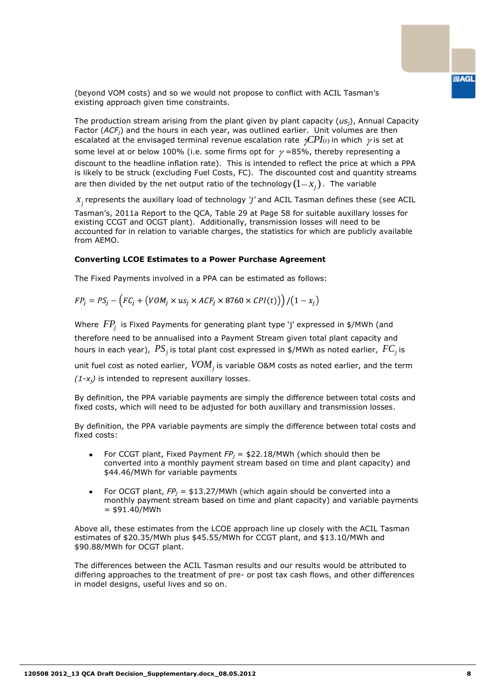(beyond VOM costs) and so we would not propose to conflict with ACIL Tasman's existing approach given time constraints.

The production stream arising from the plant given by plant capacity (*usj*), Annual Capacity Factor (*ACFj*) and the hours in each year, was outlined earlier. Unit volumes are then escalated at the envisaged terminal revenue escalation rate  $\gamma$ CPI<sub>(t)</sub> in which  $\gamma$  is set at some level at or below 100% (i.e. some firms opt for  $\gamma$  =85%, thereby representing a discount to the headline inflation rate). This is intended to reflect the price at which a PPA is likely to be struck (excluding Fuel Costs, FC). The discounted cost and quantity streams are then divided by the net output ratio of the technology  $(1 \! - \! x_j)$  . The variable

 $x_j$  represents the auxillary load of technology *'j'* and ACIL Tasman defines these (see ACIL

Tasman's, 2011a Report to the QCA, Table 29 at Page 58 for suitable auxillary losses for existing CCGT and OCGT plant). Additionally, transmission losses will need to be accounted for in relation to variable charges, the statistics for which are publicly available from AEMO.

#### **Converting LCOE Estimates to a Power Purchase Agreement**

The Fixed Payments involved in a PPA can be estimated as follows:

$$
FP_j = PS_j - (FC_j + (VOM_j \times us_j \times ACF_j \times 8760 \times CPU(t))) / (1 - x_j)
$$

Where *FP<sup>j</sup>* is Fixed Payments for generating plant type 'j' expressed in \$/MWh (and therefore need to be annualised into a Payment Stream given total plant capacity and hours in each year),  $\textit{PS}_j$  is total plant cost expressed in \$/MWh as noted earlier,  $\textit{FC}_j$  is

unit fuel cost as noted earlier,  $\mathit{VOM}_j$  is variable O&M costs as noted earlier, and the term *(1-xj)* is intended to represent auxillary losses.

By definition, the PPA variable payments are simply the difference between total costs and fixed costs, which will need to be adjusted for both auxillary and transmission losses.

By definition, the PPA variable payments are simply the difference between total costs and fixed costs:

- For CCGT plant, Fixed Payment *FP<sup>j</sup>* = \$22.18/MWh (which should then be  $\bullet$ converted into a monthly payment stream based on time and plant capacity) and \$44.46/MWh for variable payments
- For OCGT plant, *FP<sup>j</sup>* = \$13.27/MWh (which again should be converted into a  $\bullet$ monthly payment stream based on time and plant capacity) and variable payments  $= $91.40/MWh$

Above all, these estimates from the LCOE approach line up closely with the ACIL Tasman estimates of \$20.35/MWh plus \$45.55/MWh for CCGT plant, and \$13.10/MWh and \$90.88/MWh for OCGT plant.

The differences between the ACIL Tasman results and our results would be attributed to differing approaches to the treatment of pre- or post tax cash flows, and other differences in model designs, useful lives and so on.